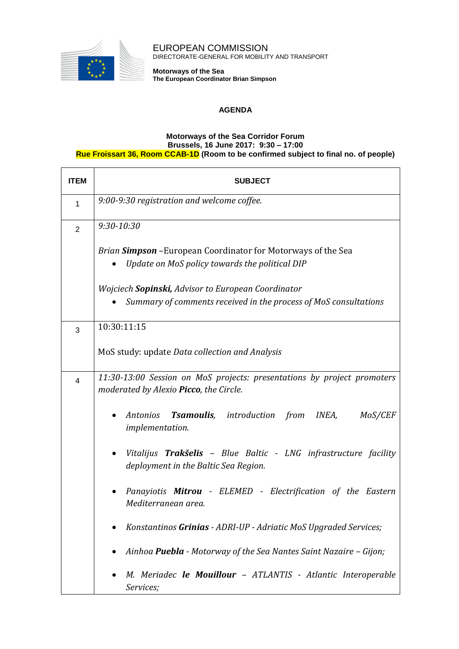

EUROPEAN COMMISSION DIRECTORATE-GENERAL FOR MOBILITY AND TRANSPORT

**Motorways of the Sea The European Coordinator Brian Simpson**

## **AGENDA**

## **Motorways of the Sea Corridor Forum Brussels, 16 June 2017: 9:30 – 17:00 Rue Froissart 36, Room CCAB-1D (Room to be confirmed subject to final no. of people)**

| <b>ITEM</b>    | <b>SUBJECT</b>                                                                                                         |
|----------------|------------------------------------------------------------------------------------------------------------------------|
| $\mathbf{1}$   | 9:00-9:30 registration and welcome coffee.                                                                             |
| $\overline{2}$ | $9:30 - 10:30$                                                                                                         |
|                | Brian <b>Simpson</b> - European Coordinator for Motorways of the Sea<br>Update on MoS policy towards the political DIP |
|                | Wojciech <b>Sopinski,</b> Advisor to European Coordinator                                                              |
|                | Summary of comments received in the process of MoS consultations                                                       |
| 3              | 10:30:11:15                                                                                                            |
|                | MoS study: update Data collection and Analysis                                                                         |
| 4              | 11:30-13:00 Session on MoS projects: presentations by project promoters<br>moderated by Alexio Picco, the Circle.      |
|                | <b>Tsamoulis</b> , introduction from<br>INEA,<br>Antonios<br><i>MoS/CEF</i><br><i>implementation.</i>                  |
|                | Vitalijus <b>Trakšelis</b> - Blue Baltic - LNG infrastructure facility<br>deployment in the Baltic Sea Region.         |
|                | Panayiotis Mitrou - ELEMED - Electrification of the Eastern<br>Mediterranean area.                                     |
|                | Konstantinos Grinias - ADRI-UP - Adriatic MoS Upgraded Services;                                                       |
|                | Ainhoa Puebla - Motorway of the Sea Nantes Saint Nazaire - Gijon;                                                      |
|                | M. Meriadec le Mouillour - ATLANTIS - Atlantic Interoperable<br>Services;                                              |